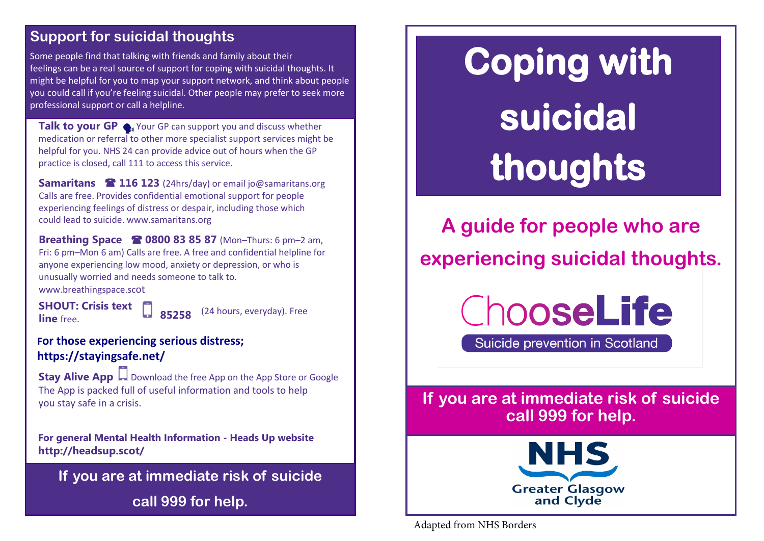### **Support for suicidal thoughts Support for suicidal thoughts**

Some people find that talking with friends and family about their words feelings can be a real source of support for coping with suicidal thoughts. It might be helpful for you to map your support network, and think about people<br>example in this support is a sub-support of the support of the support of the support of the support of the su  $\frac{1}{2}$ port. you could call if you're feeling suicidal. Other people may prefer to seek more professional support or call a helpline.

**Talk to your GP •** Your GP can support you and discuss whether medication or referral to other more specialist support services might be helpful for you. NHS 24 can provide advice out of hours when the GP practice is closed, call 111 to access this service.

**Samaritans 116 123** (24hrs/day) or email jo@samaritans.org Calls are free. Provides confidential emotional support for people experiencing feelings of distress or despair, including those which could lead to suicide. www.samaritans.org

**Breathing Space 0800 83 85 87** (Mon–Thurs: 6 pm–2 am, Fri: 6 pm–Mon 6 am) Calls are free. A free and confidential helpline for anyone experiencing low mood, anxiety or depression, or who is unusually worried and needs someone to talk to.

www.breathingspace.scot

**line** free.

**SHOUT: Crisis text C 85258** (24 hours, everyday). Free

#### **For those experiencing serious distress; https://stayingsafe.net/**

**Stay Alive App Download the free App on the App Store or Google** The App is packed full of useful information and tools to help you stay safe in a crisis.

**For general Mental Health Information - Heads Up website http://headsup.scot/**

**If you are at immediate risk of suicide call 999 for help.**

# **Coping with suicidal thoughts**

**A guide for people who are experiencing suicidal thoughts.** 

ChooseLife

Suicide prevention in Scotland

**If you are at immediate risk of suicide call 999 for help.**



Adapted from NHS Borders